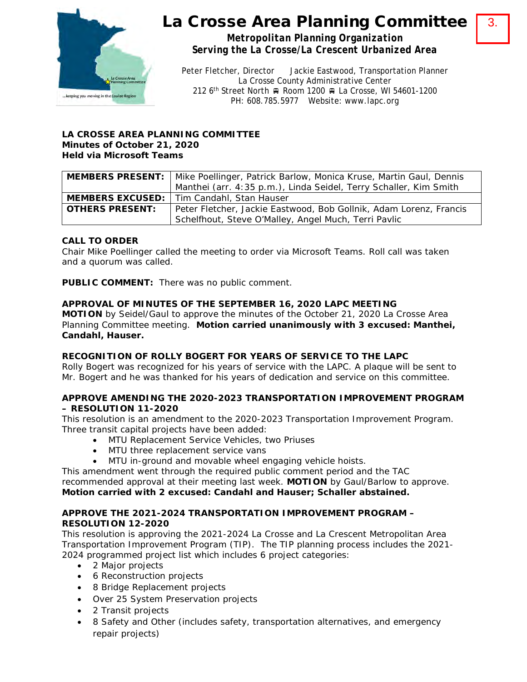

# La Crosse Area Planning Committee

3.

*Metropolitan Planning Organization Serving the La Crosse/La Crescent Urbanized Area*

Peter Fletcher, Director Jackie Eastwood, Transportation Planner La Crosse County Administrative Center 212 6<sup>th</sup> Street North <sub>R</sub> Room 1200 R La Crosse, WI 54601-1200 PH: 608.785.5977 Website: www.lapc.org

## **LA CROSSE AREA PLANNING COMMITTEE Minutes of October 21, 2020 Held via Microsoft Teams**

|                        | <b>MEMBERS PRESENT:</b>   Mike Poellinger, Patrick Barlow, Monica Kruse, Martin Gaul, Dennis |
|------------------------|----------------------------------------------------------------------------------------------|
|                        | Manthei (arr. 4:35 p.m.), Linda Seidel, Terry Schaller, Kim Smith                            |
|                        | <b>MEMBERS EXCUSED:</b>   Tim Candahl, Stan Hauser                                           |
| <b>OTHERS PRESENT:</b> | Peter Fletcher, Jackie Eastwood, Bob Gollnik, Adam Lorenz, Francis                           |
|                        | Schelfhout, Steve O'Malley, Angel Much, Terri Pavlic                                         |

## **CALL TO ORDER**

Chair Mike Poellinger called the meeting to order via Microsoft Teams. Roll call was taken and a quorum was called.

**PUBLIC COMMENT:** There was no public comment.

### **APPROVAL OF MINUTES OF THE SEPTEMBER 16, 2020 LAPC MEETING**

**MOTION** by Seidel/Gaul to approve the minutes of the October 21, 2020 La Crosse Area Planning Committee meeting. **Motion carried unanimously with 3 excused: Manthei, Candahl, Hauser.** 

## **RECOGNITION OF ROLLY BOGERT FOR YEARS OF SERVICE TO THE LAPC**

Rolly Bogert was recognized for his years of service with the LAPC. A plaque will be sent to Mr. Bogert and he was thanked for his years of dedication and service on this committee.

#### **APPROVE AMENDING THE 2020-2023 TRANSPORTATION IMPROVEMENT PROGRAM – RESOLUTION 11-2020**

This resolution is an amendment to the 2020-2023 Transportation Improvement Program. Three transit capital projects have been added:

- MTU Replacement Service Vehicles, two Priuses
- MTU three replacement service vans
- MTU in-ground and movable wheel engaging vehicle hoists.

This amendment went through the required public comment period and the TAC recommended approval at their meeting last week. **MOTION** by Gaul/Barlow to approve.

**Motion carried with 2 excused: Candahl and Hauser; Schaller abstained.** 

### **APPROVE THE 2021-2024 TRANSPORTATION IMPROVEMENT PROGRAM – RESOLUTION 12-2020**

This resolution is approving the 2021-2024 La Crosse and La Crescent Metropolitan Area Transportation Improvement Program (TIP). The TIP planning process includes the 2021- 2024 programmed project list which includes 6 project categories:

- 2 Major projects
- 6 Reconstruction projects
- 8 Bridge Replacement projects
- Over 25 System Preservation projects
- 2 Transit projects
- 8 Safety and Other (includes safety, transportation alternatives, and emergency repair projects)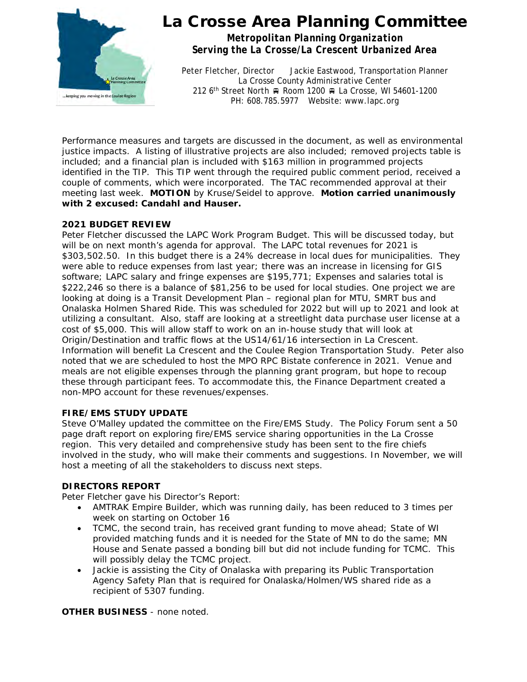

## La Crosse Area Planning Committee

*Metropolitan Planning Organization Serving the La Crosse/La Crescent Urbanized Area*

Peter Fletcher, Director Jackie Eastwood, Transportation Planner La Crosse County Administrative Center 212 6<sup>th</sup> Street North Room 1200 R La Crosse, WI 54601-1200 PH: 608.785.5977 Website: www.lapc.org

Performance measures and targets are discussed in the document, as well as environmental justice impacts. A listing of illustrative projects are also included; removed projects table is included; and a financial plan is included with \$163 million in programmed projects identified in the TIP. This TIP went through the required public comment period, received a couple of comments, which were incorporated. The TAC recommended approval at their meeting last week. **MOTION** by Kruse/Seidel to approve. **Motion carried unanimously with 2 excused: Candahl and Hauser.** 

### **2021 BUDGET REVIEW**

Peter Fletcher discussed the LAPC Work Program Budget. This will be discussed today, but will be on next month's agenda for approval. The LAPC total revenues for 2021 is \$303,502.50. In this budget there is a 24% decrease in local dues for municipalities. They were able to reduce expenses from last year; there was an increase in licensing for GIS software; LAPC salary and fringe expenses are \$195,771; Expenses and salaries total is \$222,246 so there is a balance of \$81,256 to be used for local studies. One project we are looking at doing is a Transit Development Plan – regional plan for MTU, SMRT bus and Onalaska Holmen Shared Ride. This was scheduled for 2022 but will up to 2021 and look at utilizing a consultant. Also, staff are looking at a streetlight data purchase user license at a cost of \$5,000. This will allow staff to work on an in-house study that will look at Origin/Destination and traffic flows at the US14/61/16 intersection in La Crescent. Information will benefit La Crescent and the Coulee Region Transportation Study. Peter also noted that we are scheduled to host the MPO RPC Bistate conference in 2021. Venue and meals are not eligible expenses through the planning grant program, but hope to recoup these through participant fees. To accommodate this, the Finance Department created a non-MPO account for these revenues/expenses.

#### **FIRE/EMS STUDY UPDATE**

Steve O'Malley updated the committee on the Fire/EMS Study. The Policy Forum sent a 50 page draft report on exploring fire/EMS service sharing opportunities in the La Crosse region. This very detailed and comprehensive study has been sent to the fire chiefs involved in the study, who will make their comments and suggestions. In November, we will host a meeting of all the stakeholders to discuss next steps.

#### **DIRECTORS REPORT**

Peter Fletcher gave his Director's Report:

- AMTRAK Empire Builder, which was running daily, has been reduced to 3 times per week on starting on October 16
- TCMC, the second train, has received grant funding to move ahead; State of WI provided matching funds and it is needed for the State of MN to do the same; MN House and Senate passed a bonding bill but did not include funding for TCMC. This will possibly delay the TCMC project.
- Jackie is assisting the City of Onalaska with preparing its Public Transportation Agency Safety Plan that is required for Onalaska/Holmen/WS shared ride as a recipient of 5307 funding.

#### **OTHER BUSINESS** - none noted.